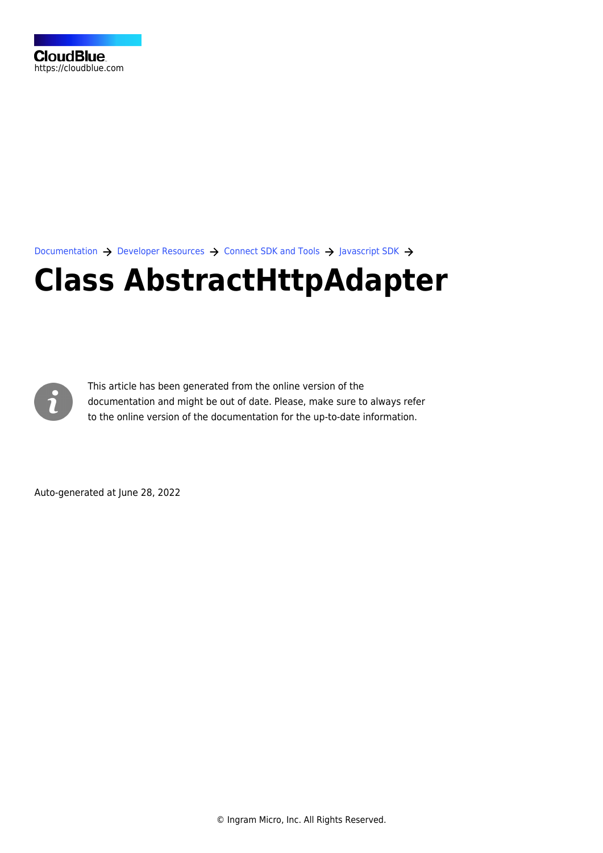[Documentation](https://connect.cloudblue.com/documentation)  $\rightarrow$  [Developer Resources](https://connect.cloudblue.com/community/developers/)  $\rightarrow$  [Connect SDK and Tools](https://connect.cloudblue.com/community/developers/sdk/)  $\rightarrow$  [Javascript SDK](https://connect.cloudblue.com/community/developers/sdk/javascript-sdk/)  $\rightarrow$ 

# **[Class AbstractHttpAdapter](https://connect.cloudblue.com/community/developers/sdk/javascript-sdk/class-abstracthttpadapter/)**



This article has been generated from the online version of the documentation and might be out of date. Please, make sure to always refer to the online version of the documentation for the up-to-date information.

Auto-generated at June 28, 2022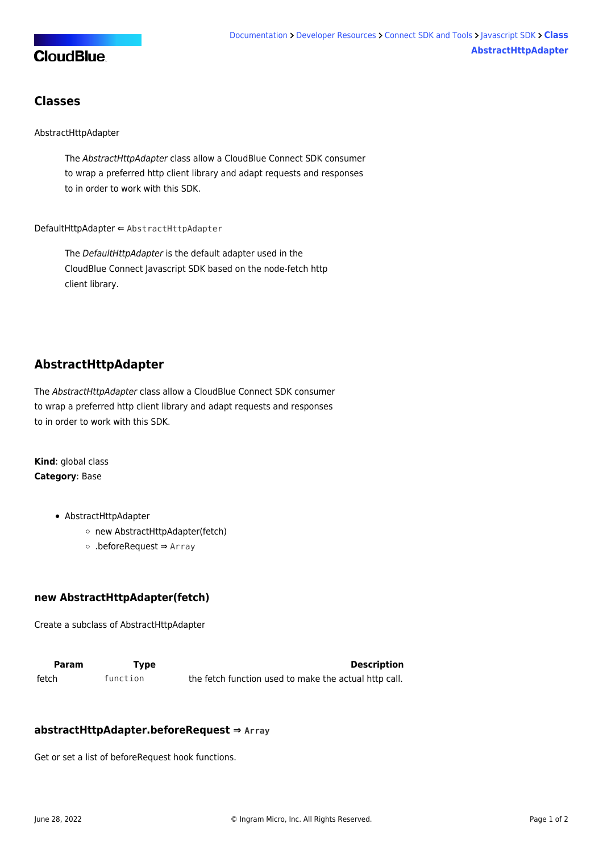

### **Classes**

#### [AbstractHttpAdapter](#page-1-0)

The AbstractHttpAdapter class allow a CloudBlue Connect SDK consumer to wrap a preferred http client library and adapt requests and responses to in order to work with this SDK.

[DefaultHttpAdapter](#page-2-0) ⇐ [AbstractHttpAdapter](#page-1-0)

The DefaultHttpAdapter is the default adapter used in the CloudBlue Connect Javascript SDK based on the node-fetch http client library.

# <span id="page-1-0"></span>**AbstractHttpAdapter**

The AbstractHttpAdapter class allow a CloudBlue Connect SDK consumer to wrap a preferred http client library and adapt requests and responses to in order to work with this SDK.

**Kind**: global class **Category**: Base

- [AbstractHttpAdapter](#page-1-0)
	- [new AbstractHttpAdapter\(fetch\)](#page-1-1)
	- [.beforeRequest](#page-2-1) ⇒ Array

#### <span id="page-1-1"></span>**new AbstractHttpAdapter(fetch)**

Create a subclass of AbstractHttpAdapter

**Param Type Type Description** fetch function the fetch function used to make the actual http call.

#### **abstractHttpAdapter.beforeRequest ⇒ Array**

Get or set a list of beforeRequest hook functions.